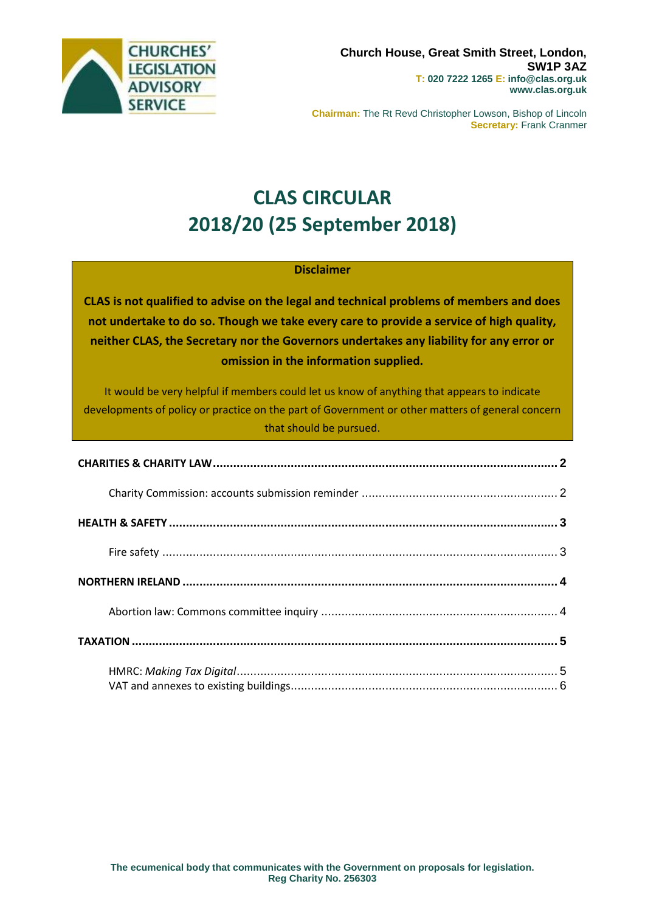

**Chairman:** The Rt Revd Christopher Lowson, Bishop of Lincoln **Secretary:** Frank Cranmer

# **CLAS CIRCULAR 2018/20 (25 September 2018)**

#### **Disclaimer**

**CLAS is not qualified to advise on the legal and technical problems of members and does not undertake to do so. Though we take every care to provide a service of high quality, neither CLAS, the Secretary nor the Governors undertakes any liability for any error or omission in the information supplied.**

It would be very helpful if members could let us know of anything that appears to indicate developments of policy or practice on the part of Government or other matters of general concern that should be pursued.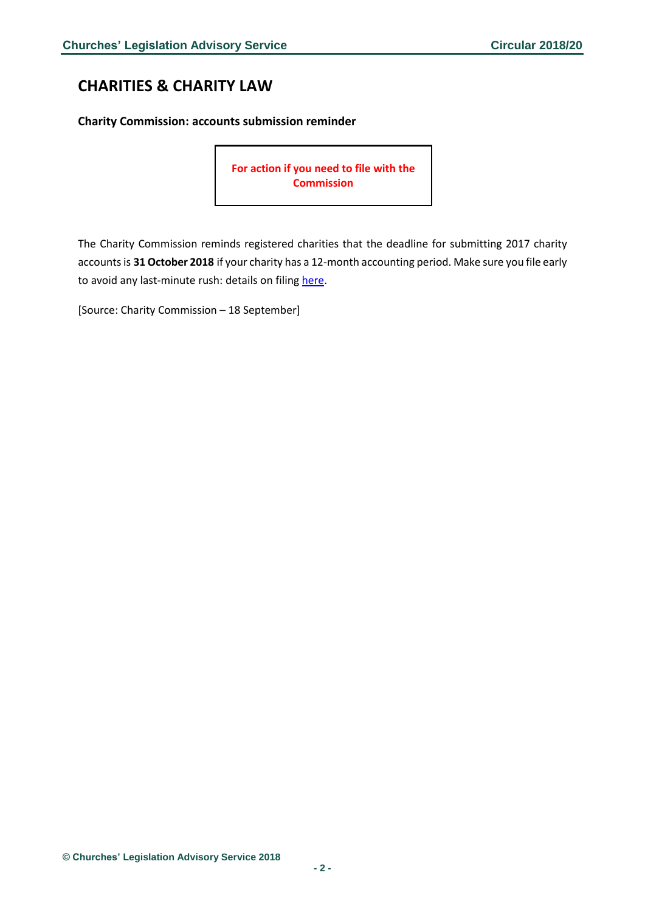## <span id="page-1-0"></span>**CHARITIES & CHARITY LAW**

<span id="page-1-1"></span>**Charity Commission: accounts submission reminder**

**For action if you need to file with the Commission**

The Charity Commission reminds registered charities that the deadline for submitting 2017 charity accounts is 31 October 2018 if your charity has a 12-month accounting period. Make sure you file early to avoid any last-minute rush: details on filing [here.](https://www.gov.uk/guidance/prepare-a-charity-annual-return)

[Source: Charity Commission – 18 September]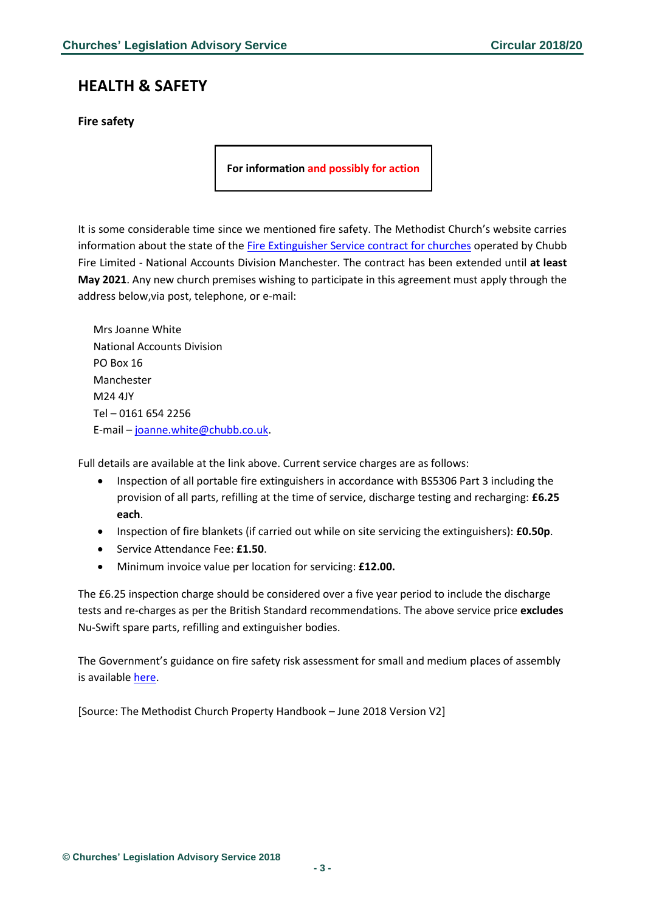## <span id="page-2-0"></span>**HEALTH & SAFETY**

#### <span id="page-2-1"></span>**Fire safety**

**For information and possibly for action**

It is some considerable time since we mentioned fire safety. The Methodist Church's website carries information about the state of the [Fire Extinguisher Service contract for churches](https://www.methodist.org.uk/h1/Fire%20Extinguisher%20Service%20Contract%20(June%202018).pdf) operated by Chubb Fire Limited - National Accounts Division Manchester. The contract has been extended until **at least May 2021**. Any new church premises wishing to participate in this agreement must apply through the address below,via post, telephone, or e-mail:

Mrs Joanne White National Accounts Division PO Box 16 Manchester M24 4JY Tel – 0161 654 2256 E-mail – [joanne.white@chubb.co.uk.](mailto:joanne.white@chubb.co.uk)

Full details are available at the link above. Current service charges are as follows:

- Inspection of all portable fire extinguishers in accordance with BS5306 Part 3 including the provision of all parts, refilling at the time of service, discharge testing and recharging: **£6.25 each**.
- Inspection of fire blankets (if carried out while on site servicing the extinguishers): **£0.50p**.
- Service Attendance Fee: **£1.50**.
- Minimum invoice value per location for servicing: **£12.00.**

The £6.25 inspection charge should be considered over a five year period to include the discharge tests and re-charges as per the British Standard recommendations. The above service price **excludes** Nu-Swift spare parts, refilling and extinguisher bodies.

The Government's guidance on fire safety risk assessment for small and medium places of assembly is availabl[e here.](https://assets.publishing.service.gov.uk/government/uploads/system/uploads/attachment_data/file/422195/9294_Small_Mediumt_v2.pdf)

[Source: The Methodist Church Property Handbook – June 2018 Version V2]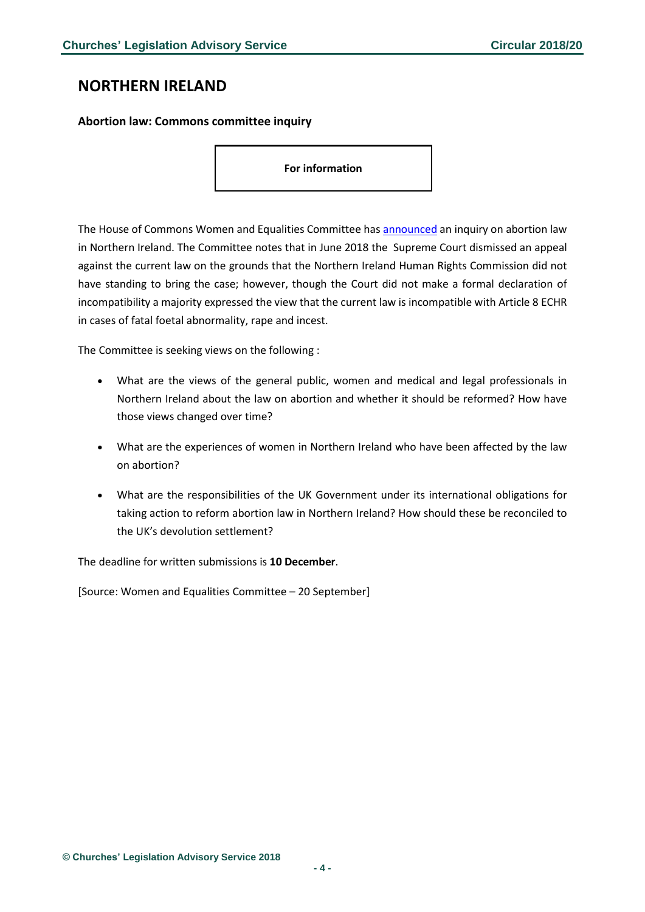### <span id="page-3-0"></span>**NORTHERN IRELAND**

#### <span id="page-3-1"></span>**Abortion law: Commons committee inquiry**

**For information**

The House of Commons Women and Equalities Committee has **[announced](https://www.parliament.uk/business/committees/committees-a-z/commons-select/women-and-equalities-committee/news-parliament-2017/abortion-law-northern-ireland-launch-17-19/)** an inquiry on abortion law in Northern Ireland. The Committee notes that in June 2018 the Supreme Court dismissed an appeal against the current law on the grounds that the Northern Ireland Human Rights Commission did not have standing to bring the case; however, though the Court did not make a formal declaration of incompatibility a majority expressed the view that the current law is incompatible with Article 8 ECHR in cases of fatal foetal abnormality, rape and incest.

The Committee is seeking views on the following :

- What are the views of the general public, women and medical and legal professionals in Northern Ireland about the law on abortion and whether it should be reformed? How have those views changed over time?
- What are the experiences of women in Northern Ireland who have been affected by the law on abortion?
- What are the responsibilities of the UK Government under its international obligations for taking action to reform abortion law in Northern Ireland? How should these be reconciled to the UK's devolution settlement?

The deadline for written submissions is **10 December**.

[Source: Women and Equalities Committee – 20 September]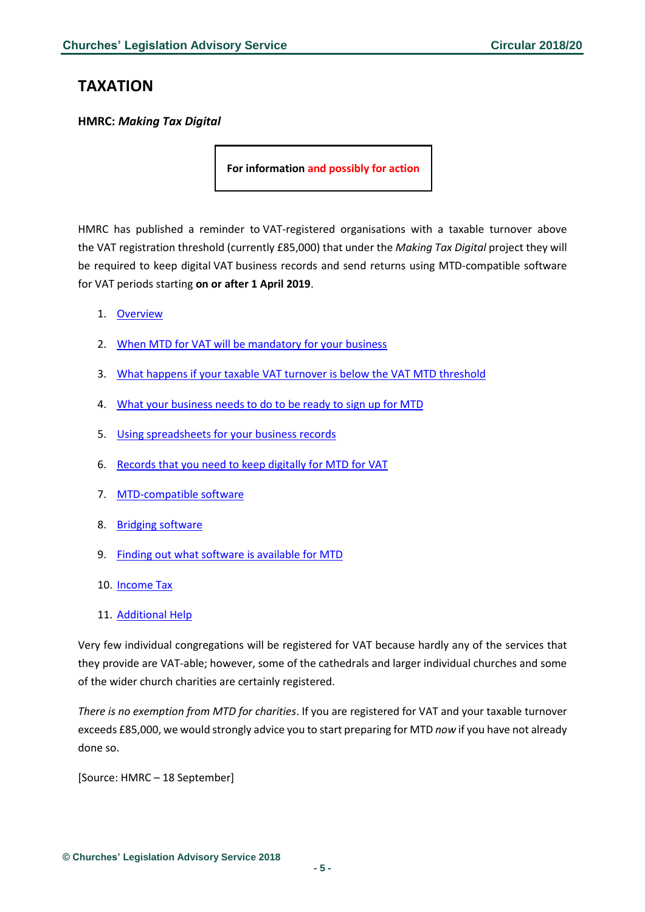## <span id="page-4-0"></span>**TAXATION**

<span id="page-4-1"></span>**HMRC:** *Making Tax Digital*

**For information and possibly for action**

HMRC has published a reminder to VAT-registered organisations with a taxable turnover above the VAT registration threshold (currently £85,000) that under the *Making Tax Digital* project they will be required to keep digital VAT business records and send returns using MTD-compatible software for VAT periods starting **on or after 1 April 2019**.

- 1. [Overview](https://www.gov.uk/government/publications/making-tax-digital-how-vat-businesses-and-other-vat-entities-can-get-ready/making-tax-digital-how-vat-businesses-and-other-vat-entities-can-get-ready#introduction)
- 2. When MTD for VAT will be [mandatory](https://www.gov.uk/government/publications/making-tax-digital-how-vat-businesses-and-other-vat-entities-can-get-ready/making-tax-digital-how-vat-businesses-and-other-vat-entities-can-get-ready#when-mtd-for-vat-will-be-mandatory-for-your-business) for your business
- 3. What happens if your taxable VAT turnover is below the VAT MTD [threshold](https://www.gov.uk/government/publications/making-tax-digital-how-vat-businesses-and-other-vat-entities-can-get-ready/making-tax-digital-how-vat-businesses-and-other-vat-entities-can-get-ready#what-happens-if-your-taxable-vat-turnover-is-below-the-vat-mtd-threshold)
- 4. What your [business](https://www.gov.uk/government/publications/making-tax-digital-how-vat-businesses-and-other-vat-entities-can-get-ready/making-tax-digital-how-vat-businesses-and-other-vat-entities-can-get-ready#what-your-business-needs-to-do-to-be-ready-to-sign-up-for-mtd) needs to do to be ready to sign up for MTD
- 5. Using [spreadsheets](https://www.gov.uk/government/publications/making-tax-digital-how-vat-businesses-and-other-vat-entities-can-get-ready/making-tax-digital-how-vat-businesses-and-other-vat-entities-can-get-ready#using-spreadsheets-for-your-business-records) for your business records
- 6. [Records](https://www.gov.uk/government/publications/making-tax-digital-how-vat-businesses-and-other-vat-entities-can-get-ready/making-tax-digital-how-vat-businesses-and-other-vat-entities-can-get-ready#records-that-you-need-to-keep-digitally-for-mtd-for-vat) that you need to keep digitally for MTD for VAT
- 7. [MTD-compatible](https://www.gov.uk/government/publications/making-tax-digital-how-vat-businesses-and-other-vat-entities-can-get-ready/making-tax-digital-how-vat-businesses-and-other-vat-entities-can-get-ready#mtd-compatible-software) software
- 8. Bridging [software](https://www.gov.uk/government/publications/making-tax-digital-how-vat-businesses-and-other-vat-entities-can-get-ready/making-tax-digital-how-vat-businesses-and-other-vat-entities-can-get-ready#bridging-software)
- 9. Finding out what software is [available](https://www.gov.uk/government/publications/making-tax-digital-how-vat-businesses-and-other-vat-entities-can-get-ready/making-tax-digital-how-vat-businesses-and-other-vat-entities-can-get-ready#finding-out-what-software-is-available-for-mtd) for MTD
- 10. [Income](https://www.gov.uk/government/publications/making-tax-digital-how-vat-businesses-and-other-vat-entities-can-get-ready/making-tax-digital-how-vat-businesses-and-other-vat-entities-can-get-ready#income-tax) Tax
- 11. [Additional](https://www.gov.uk/government/publications/making-tax-digital-how-vat-businesses-and-other-vat-entities-can-get-ready/making-tax-digital-how-vat-businesses-and-other-vat-entities-can-get-ready#additional-help) Help

Very few individual congregations will be registered for VAT because hardly any of the services that they provide are VAT-able; however, some of the cathedrals and larger individual churches and some of the wider church charities are certainly registered.

*There is no exemption from MTD for charities*. If you are registered for VAT and your taxable turnover exceeds £85,000, we would strongly advice you to start preparing for MTD *now* if you have not already done so.

[Source: HMRC – 18 September]